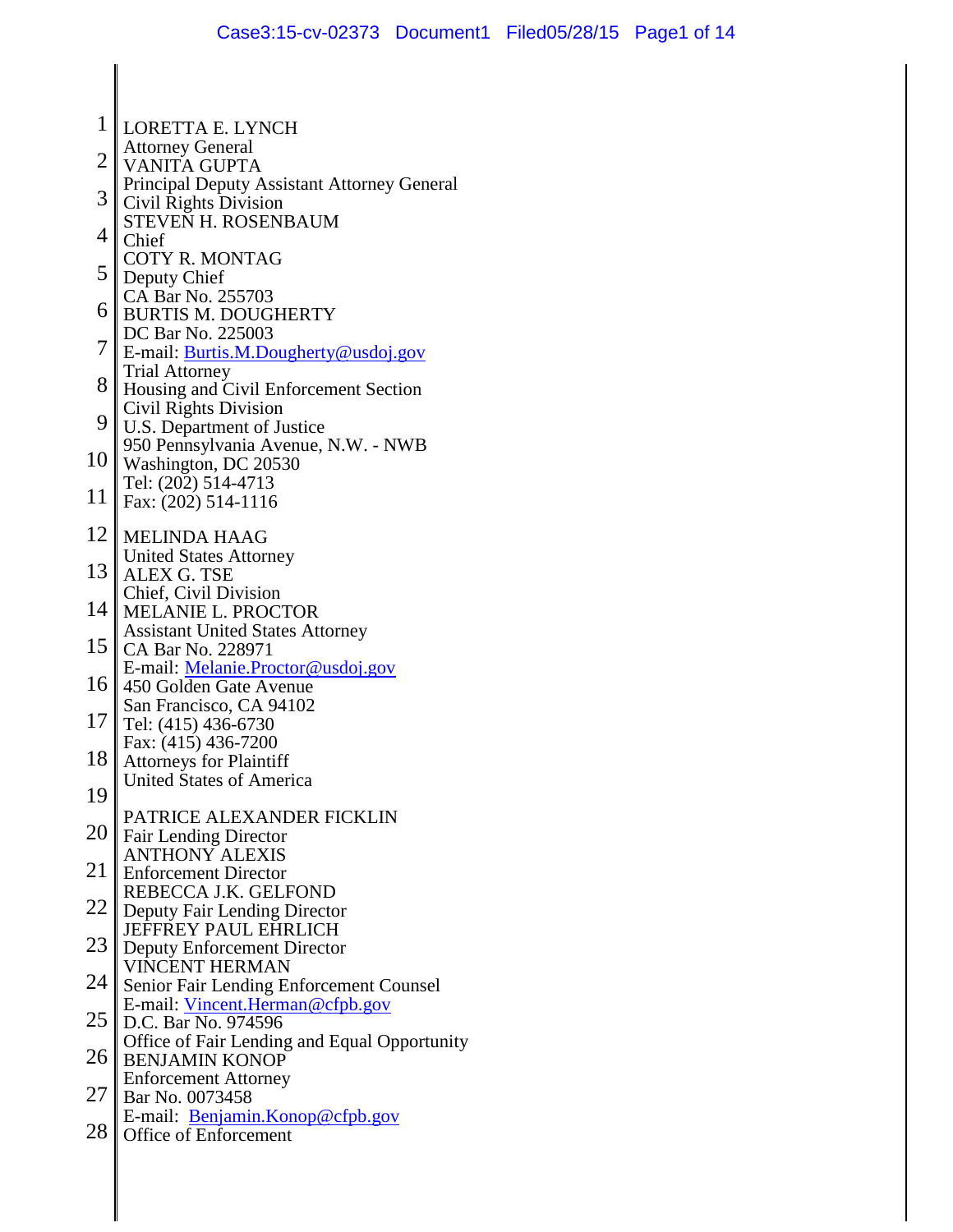- 1 LORETTA E. LYNCH Attorney General
- 2 VANITA GUPTA
- 3 Principal Deputy Assistant Attorney General Civil Rights Division
- 4 STEVEN H. ROSENBAUM
- Chief
- 5 COTY R. MONTAG Deputy Chief
- CA Bar No. 255703
- 6 BURTIS M. DOUGHERTY DC Bar No. 225003
- 7 E-mail: [Burtis.M.Dougherty@usdoj.gov](mailto:Burtis.M.Dougherty@usdoj.gov) Trial Attorney
- 8 Housing and Civil Enforcement Section Civil Rights Division
- 9 U.S. Department of Justice 950 Pennsylvania Avenue, N.W. - NWB
- $10<sup>1</sup>$ Washington, DC 20530 Tel: (202) 514-4713
- 11 Fax: (202) 514-1116
- 12 MELINDA HAAG United States Attorney
- 13 ALEX G. TSE Chief, Civil Division
- 14 MELANIE L. PROCTOR Assistant United States Attorney
- 15 CA Bar No. 228971 E-mail: [Melanie.Proctor@usdoj.gov](mailto:Melanie.Proctor@usdoj.gov)
- 16 450 Golden Gate Avenue San Francisco, CA 94102
- 17 Tel: (415) 436-6730 Fax: (415) 436-7200
- 18 Attorneys for Plaintiff United States of America
- 19
- 20 PATRICE ALEXANDER FICKLIN Fair Lending Director
- ANTHONY ALEXIS
- 21 Enforcement Director REBECCA J.K. GELFOND
- 22 Deputy Fair Lending Director JEFFREY PAUL EHRLICH
- 23 Deputy Enforcement Director VINCENT HERMAN
- 24 Senior Fair Lending Enforcement Counsel E-mail: [Vincent.Herman@cfpb.gov](mailto:Vincent.Herman@cfpb.gov)
- 25 D.C. Bar No. 974596 Office of Fair Lending and Equal Opportunity
- 26 BENJAMIN KONOP Enforcement Attorney
- $27 \parallel$ Bar No. 0073458 E-mail: [Benjamin.Konop@cfpb.gov](mailto:Benjamin.Konop@cfpb.gov)
- 28 Office of Enforcement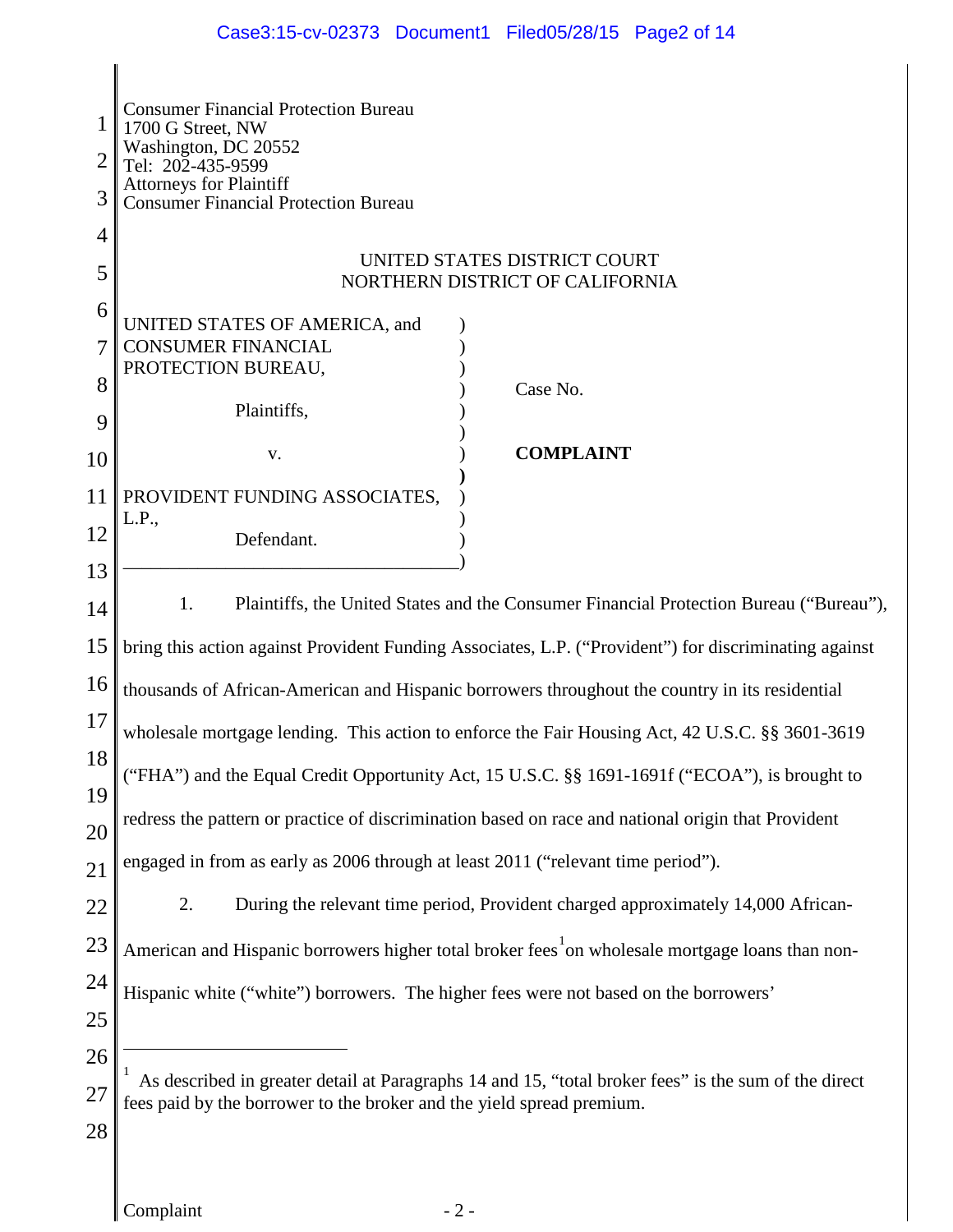# Case3:15-cv-02373 Document1 Filed05/28/15 Page2 of 14

<span id="page-1-0"></span>

| 1<br>3      | <b>Consumer Financial Protection Bureau</b><br>1700 G Street, NW<br>Washington, DC 20552<br>Tel: 202-435-9599<br><b>Attorneys for Plaintiff</b><br><b>Consumer Financial Protection Bureau</b> |  |  |  |  |  |
|-------------|------------------------------------------------------------------------------------------------------------------------------------------------------------------------------------------------|--|--|--|--|--|
| 4           |                                                                                                                                                                                                |  |  |  |  |  |
| 5           | UNITED STATES DISTRICT COURT<br>NORTHERN DISTRICT OF CALIFORNIA                                                                                                                                |  |  |  |  |  |
| 6<br>7<br>8 | UNITED STATES OF AMERICA, and<br><b>CONSUMER FINANCIAL</b><br>PROTECTION BUREAU,<br>Case No.                                                                                                   |  |  |  |  |  |
| 9           | Plaintiffs,                                                                                                                                                                                    |  |  |  |  |  |
| 10          | <b>COMPLAINT</b><br>V.                                                                                                                                                                         |  |  |  |  |  |
| 11          | PROVIDENT FUNDING ASSOCIATES,                                                                                                                                                                  |  |  |  |  |  |
| 12          | L.P.,<br>Defendant.                                                                                                                                                                            |  |  |  |  |  |
| 13          |                                                                                                                                                                                                |  |  |  |  |  |
| 14          | Plaintiffs, the United States and the Consumer Financial Protection Bureau ("Bureau"),<br>1.                                                                                                   |  |  |  |  |  |
| 15          | bring this action against Provident Funding Associates, L.P. ("Provident") for discriminating against                                                                                          |  |  |  |  |  |
| 16          | thousands of African-American and Hispanic borrowers throughout the country in its residential                                                                                                 |  |  |  |  |  |
| 17          | wholesale mortgage lending. This action to enforce the Fair Housing Act, 42 U.S.C. §§ 3601-3619                                                                                                |  |  |  |  |  |
| 18          | ("FHA") and the Equal Credit Opportunity Act, 15 U.S.C. §§ 1691-1691f ("ECOA"), is brought to                                                                                                  |  |  |  |  |  |
| 19<br>20    | redress the pattern or practice of discrimination based on race and national origin that Provident                                                                                             |  |  |  |  |  |
| 21          | engaged in from as early as 2006 through at least 2011 ("relevant time period").                                                                                                               |  |  |  |  |  |
| 22          | During the relevant time period, Provident charged approximately 14,000 African-<br>2.                                                                                                         |  |  |  |  |  |
| 23          | American and Hispanic borrowers higher total broker fees on wholesale mortgage loans than non-                                                                                                 |  |  |  |  |  |
| 24          | Hispanic white ("white") borrowers. The higher fees were not based on the borrowers'                                                                                                           |  |  |  |  |  |
| 25          |                                                                                                                                                                                                |  |  |  |  |  |
| 26          |                                                                                                                                                                                                |  |  |  |  |  |
| 27          | As described in greater detail at Paragraphs 14 and 15, "total broker fees" is the sum of the direct<br>fees paid by the borrower to the broker and the yield spread premium.                  |  |  |  |  |  |
| 28          |                                                                                                                                                                                                |  |  |  |  |  |
|             |                                                                                                                                                                                                |  |  |  |  |  |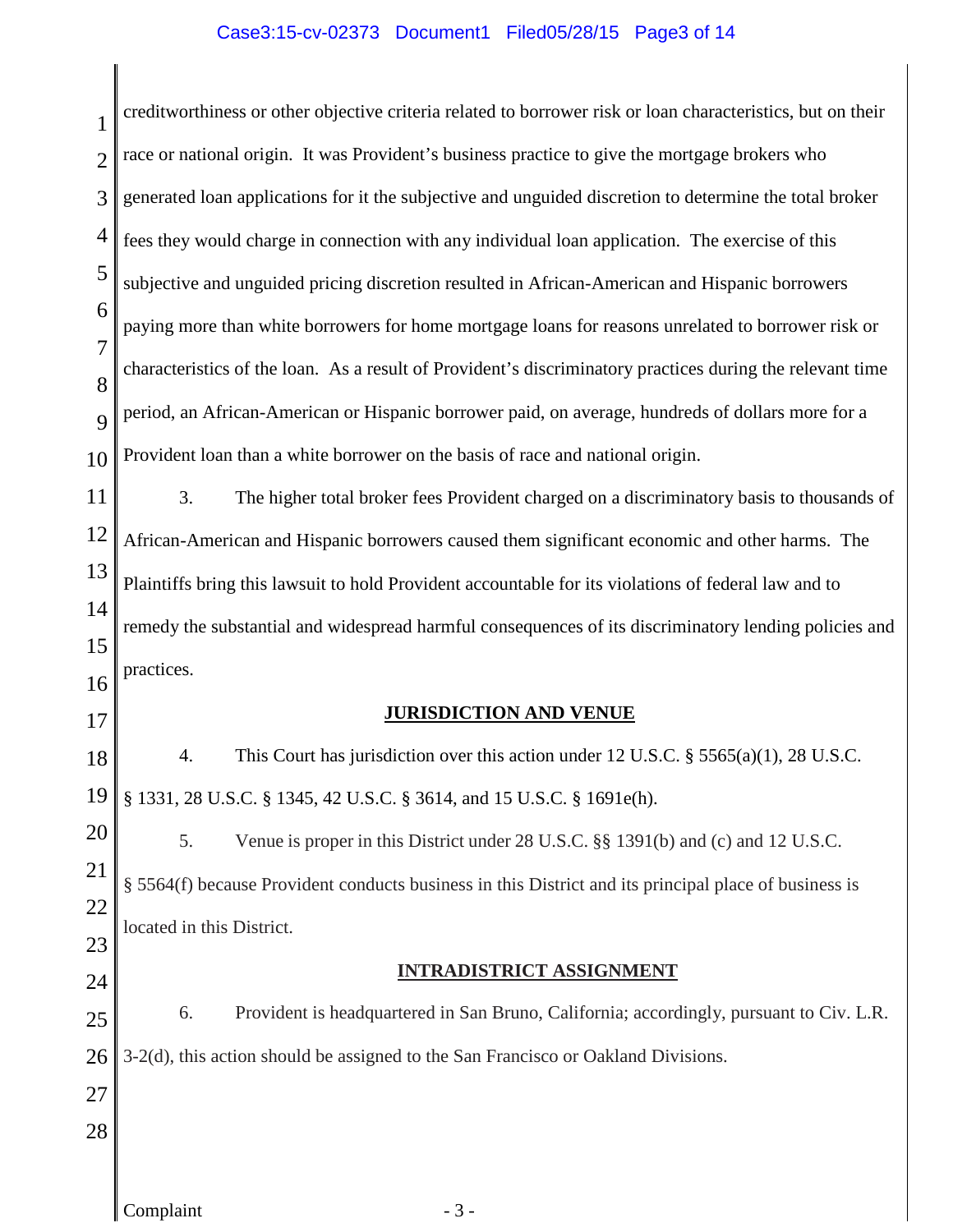# Case3:15-cv-02373 Document1 Filed05/28/15 Page3 of 14

| 1                   | creditworthiness or other objective criteria related to borrower risk or loan characteristics, but on their                                                      |  |  |  |  |  |
|---------------------|------------------------------------------------------------------------------------------------------------------------------------------------------------------|--|--|--|--|--|
| $\overline{2}$      | race or national origin. It was Provident's business practice to give the mortgage brokers who                                                                   |  |  |  |  |  |
| 3                   | generated loan applications for it the subjective and unguided discretion to determine the total broker                                                          |  |  |  |  |  |
| 4                   | fees they would charge in connection with any individual loan application. The exercise of this                                                                  |  |  |  |  |  |
| 5                   | subjective and unguided pricing discretion resulted in African-American and Hispanic borrowers                                                                   |  |  |  |  |  |
| 6                   | paying more than white borrowers for home mortgage loans for reasons unrelated to borrower risk or                                                               |  |  |  |  |  |
| $\overline{7}$<br>8 | characteristics of the loan. As a result of Provident's discriminatory practices during the relevant time                                                        |  |  |  |  |  |
| 9                   | period, an African-American or Hispanic borrower paid, on average, hundreds of dollars more for a                                                                |  |  |  |  |  |
| 10                  | Provident loan than a white borrower on the basis of race and national origin.                                                                                   |  |  |  |  |  |
| 11                  | 3.<br>The higher total broker fees Provident charged on a discriminatory basis to thousands of                                                                   |  |  |  |  |  |
| 12                  | African-American and Hispanic borrowers caused them significant economic and other harms. The                                                                    |  |  |  |  |  |
| 13                  | Plaintiffs bring this lawsuit to hold Provident accountable for its violations of federal law and to                                                             |  |  |  |  |  |
| 14                  | remedy the substantial and widespread harmful consequences of its discriminatory lending policies and                                                            |  |  |  |  |  |
| 15<br>16            | practices.                                                                                                                                                       |  |  |  |  |  |
| 17                  | <b>JURISDICTION AND VENUE</b>                                                                                                                                    |  |  |  |  |  |
|                     | 4                                                                                                                                                                |  |  |  |  |  |
| 18<br>19            | This Court has jurisdiction over this action under 12 U.S.C. $\S$ 5565(a)(1), 28 U.S.C.<br>§ 1331, 28 U.S.C. § 1345, 42 U.S.C. § 3614, and 15 U.S.C. § 1691e(h). |  |  |  |  |  |
|                     |                                                                                                                                                                  |  |  |  |  |  |
| 20                  | 5.<br>Venue is proper in this District under 28 U.S.C. §§ 1391(b) and (c) and 12 U.S.C.                                                                          |  |  |  |  |  |
| 21                  | § 5564(f) because Provident conducts business in this District and its principal place of business is                                                            |  |  |  |  |  |
| 22<br>23            | located in this District.                                                                                                                                        |  |  |  |  |  |
| 24                  | INTRADISTRICT ASSIGNMENT                                                                                                                                         |  |  |  |  |  |
| 25                  | Provident is headquartered in San Bruno, California; accordingly, pursuant to Civ. L.R.<br>6.                                                                    |  |  |  |  |  |
| 26                  | 3-2(d), this action should be assigned to the San Francisco or Oakland Divisions.                                                                                |  |  |  |  |  |
| 27                  |                                                                                                                                                                  |  |  |  |  |  |
| 28                  |                                                                                                                                                                  |  |  |  |  |  |
|                     |                                                                                                                                                                  |  |  |  |  |  |
|                     |                                                                                                                                                                  |  |  |  |  |  |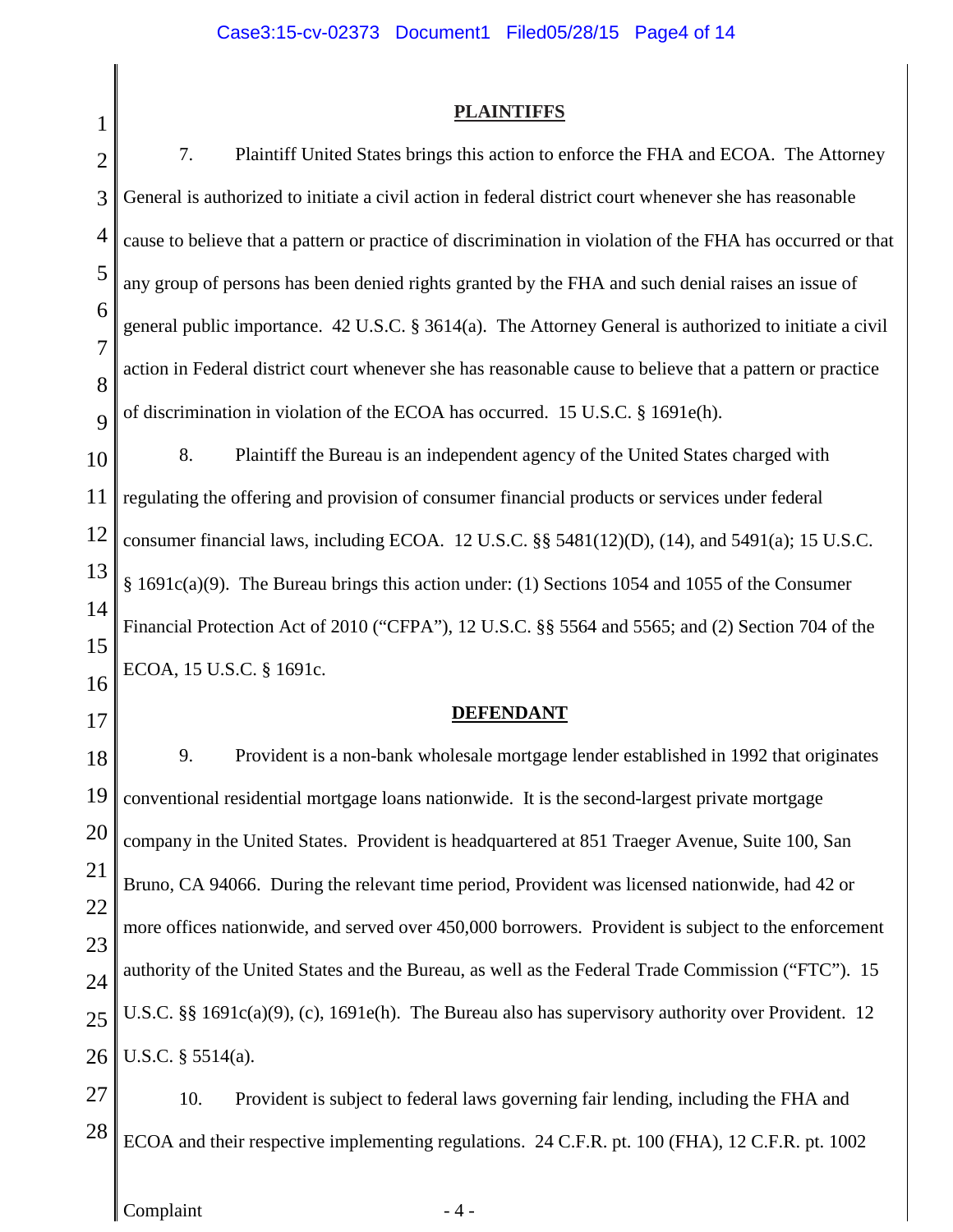# Case3:15-cv-02373 Document1 Filed05/28/15 Page4 of 14

| 1                   | <b>PLAINTIFFS</b>                                                                                          |  |  |  |  |  |  |
|---------------------|------------------------------------------------------------------------------------------------------------|--|--|--|--|--|--|
| $\overline{2}$      | 7.<br>Plaintiff United States brings this action to enforce the FHA and ECOA. The Attorney                 |  |  |  |  |  |  |
| 3                   | General is authorized to initiate a civil action in federal district court whenever she has reasonable     |  |  |  |  |  |  |
| 4                   | cause to believe that a pattern or practice of discrimination in violation of the FHA has occurred or that |  |  |  |  |  |  |
| 5                   | any group of persons has been denied rights granted by the FHA and such denial raises an issue of          |  |  |  |  |  |  |
| 6                   | general public importance. 42 U.S.C. § 3614(a). The Attorney General is authorized to initiate a civil     |  |  |  |  |  |  |
| $\overline{7}$<br>8 | action in Federal district court whenever she has reasonable cause to believe that a pattern or practice   |  |  |  |  |  |  |
| 9                   | of discrimination in violation of the ECOA has occurred. 15 U.S.C. § 1691e(h).                             |  |  |  |  |  |  |
| 10                  | 8.<br>Plaintiff the Bureau is an independent agency of the United States charged with                      |  |  |  |  |  |  |
| 11                  | regulating the offering and provision of consumer financial products or services under federal             |  |  |  |  |  |  |
| 12                  | consumer financial laws, including ECOA. 12 U.S.C. §§ 5481(12)(D), (14), and 5491(a); 15 U.S.C.            |  |  |  |  |  |  |
| 13                  | § 1691c(a)(9). The Bureau brings this action under: (1) Sections 1054 and 1055 of the Consumer             |  |  |  |  |  |  |
| 14<br>15            | Financial Protection Act of 2010 ("CFPA"), 12 U.S.C. §§ 5564 and 5565; and (2) Section 704 of the          |  |  |  |  |  |  |
| 16                  | ECOA, 15 U.S.C. § 1691c.                                                                                   |  |  |  |  |  |  |
| 17                  | <b>DEFENDANT</b>                                                                                           |  |  |  |  |  |  |
| 18                  | 9.<br>Provident is a non-bank wholesale mortgage lender established in 1992 that originates                |  |  |  |  |  |  |
| 19                  | conventional residential mortgage loans nationwide. It is the second-largest private mortgage              |  |  |  |  |  |  |
| 20                  | company in the United States. Provident is headquartered at 851 Traeger Avenue, Suite 100, San             |  |  |  |  |  |  |
| 21                  | Bruno, CA 94066. During the relevant time period, Provident was licensed nationwide, had 42 or             |  |  |  |  |  |  |
| 22<br>23            | more offices nationwide, and served over 450,000 borrowers. Provident is subject to the enforcement        |  |  |  |  |  |  |
| 24                  | authority of the United States and the Bureau, as well as the Federal Trade Commission ("FTC"). 15         |  |  |  |  |  |  |
| 25                  | U.S.C. §§ 1691c(a)(9), (c), 1691e(h). The Bureau also has supervisory authority over Provident. 12         |  |  |  |  |  |  |
| 26                  | U.S.C. $\S$ 5514(a).                                                                                       |  |  |  |  |  |  |
| 27                  | 10.<br>Provident is subject to federal laws governing fair lending, including the FHA and                  |  |  |  |  |  |  |
| 28                  | ECOA and their respective implementing regulations. 24 C.F.R. pt. 100 (FHA), 12 C.F.R. pt. 1002            |  |  |  |  |  |  |
|                     | Complaint<br>$-4-$                                                                                         |  |  |  |  |  |  |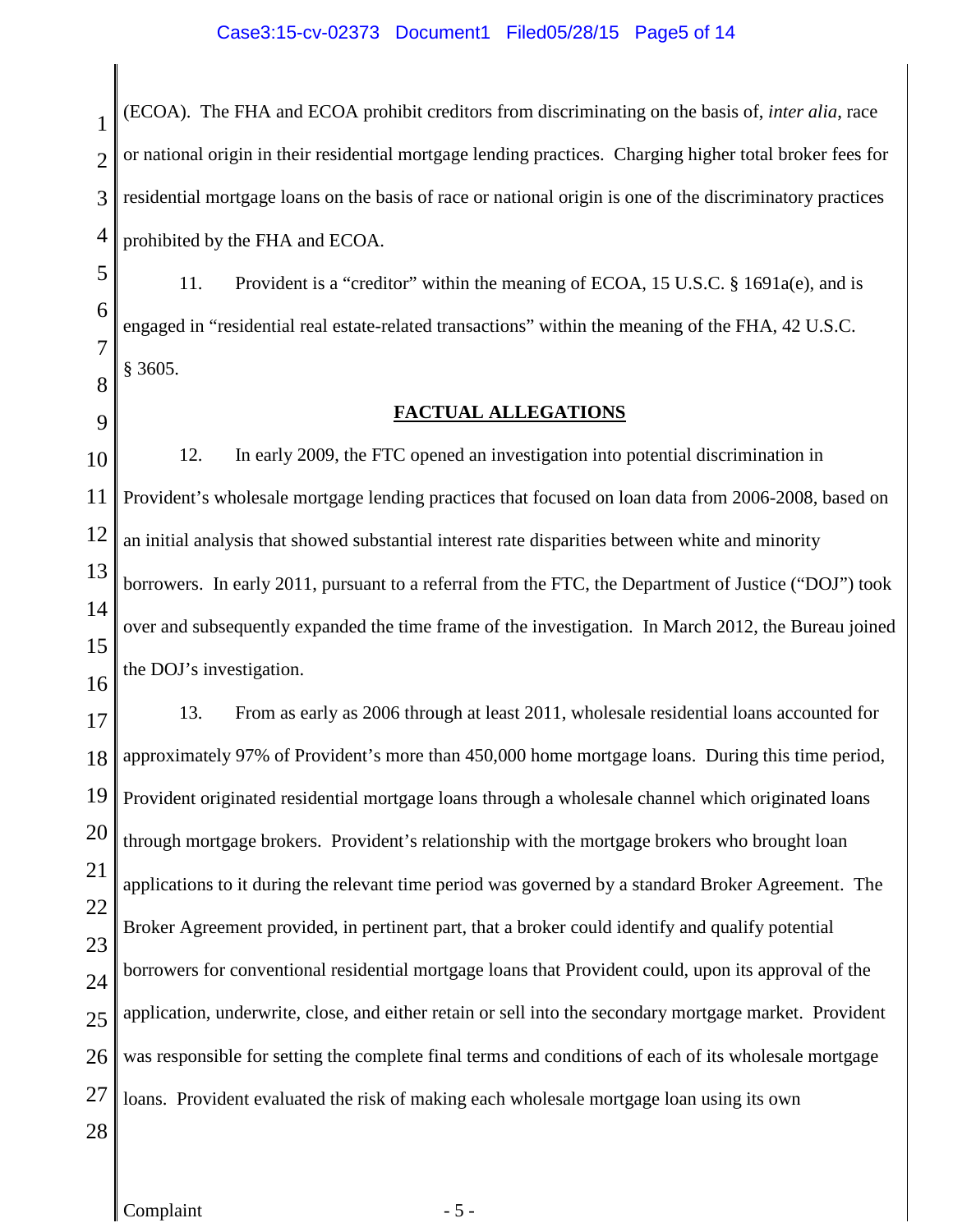### Case3:15-cv-02373 Document1 Filed05/28/15 Page5 of 14

1  $\mathcal{D}_{\mathcal{L}}$ 3 4 (ECOA). The FHA and ECOA prohibit creditors from discriminating on the basis of, *inter alia*, race or national origin in their residential mortgage lending practices. Charging higher total broker fees for residential mortgage loans on the basis of race or national origin is one of the discriminatory practices prohibited by the FHA and ECOA.

5 6 7 8 11. Provident is a "creditor" within the meaning of ECOA, 15 U.S.C. § 1691a(e), and is engaged in "residential real estate-related transactions" within the meaning of the FHA, 42 U.S.C. § 3605.

9

### **FACTUAL ALLEGATIONS**

10 11 12 13 14 15 16 12. In early 2009, the FTC opened an investigation into potential discrimination in Provident's wholesale mortgage lending practices that focused on loan data from 2006-2008, based on an initial analysis that showed substantial interest rate disparities between white and minority borrowers. In early 2011, pursuant to a referral from the FTC, the Department of Justice ("DOJ") took over and subsequently expanded the time frame of the investigation. In March 2012, the Bureau joined the DOJ's investigation.

17 18 19 20 21 22 23 24 25 26 27 28 13. From as early as 2006 through at least 2011, wholesale residential loans accounted for approximately 97% of Provident's more than 450,000 home mortgage loans. During this time period, Provident originated residential mortgage loans through a wholesale channel which originated loans through mortgage brokers. Provident's relationship with the mortgage brokers who brought loan applications to it during the relevant time period was governed by a standard Broker Agreement. The Broker Agreement provided, in pertinent part, that a broker could identify and qualify potential borrowers for conventional residential mortgage loans that Provident could, upon its approval of the application, underwrite, close, and either retain or sell into the secondary mortgage market. Provident was responsible for setting the complete final terms and conditions of each of its wholesale mortgage loans. Provident evaluated the risk of making each wholesale mortgage loan using its own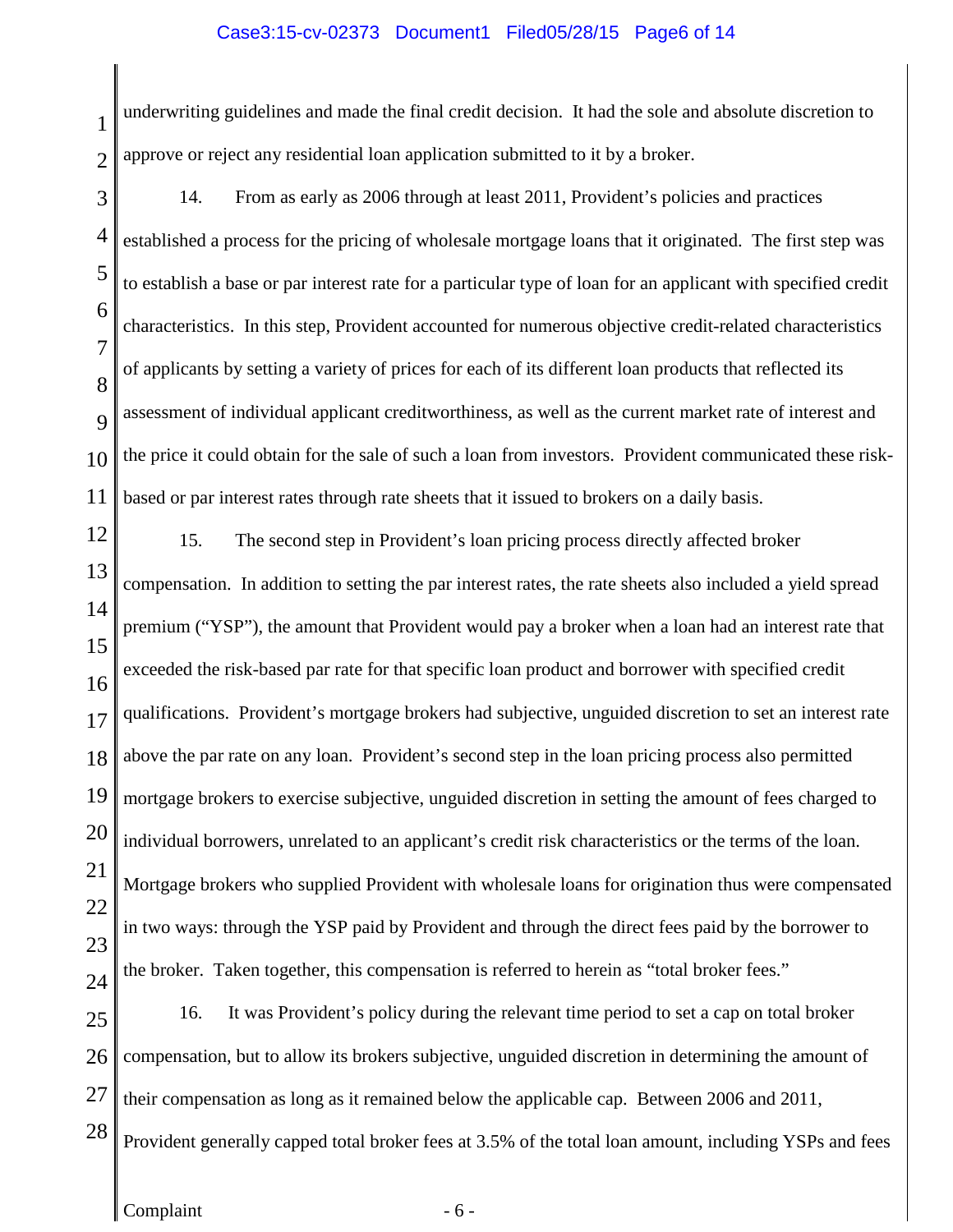#### Case3:15-cv-02373 Document1 Filed05/28/15 Page6 of 14

1 2 underwriting guidelines and made the final credit decision. It had the sole and absolute discretion to approve or reject any residential loan application submitted to it by a broker.

3 4 5 6 7 8  $\overline{Q}$ 10 11 14. From as early as 2006 through at least 2011, Provident's policies and practices established a process for the pricing of wholesale mortgage loans that it originated. The first step was to establish a base or par interest rate for a particular type of loan for an applicant with specified credit characteristics. In this step, Provident accounted for numerous objective credit-related characteristics of applicants by setting a variety of prices for each of its different loan products that reflected its assessment of individual applicant creditworthiness, as well as the current market rate of interest and the price it could obtain for the sale of such a loan from investors. Provident communicated these riskbased or par interest rates through rate sheets that it issued to brokers on a daily basis.

12

13

15. The second step in Provident's loan pricing process directly affected broker compensation. In addition to setting the par interest rates, the rate sheets also included a yield spread

14 15 16 17 18 19 20 21 22 23 24 premium ("YSP"), the amount that Provident would pay a broker when a loan had an interest rate that exceeded the risk-based par rate for that specific loan product and borrower with specified credit qualifications. Provident's mortgage brokers had subjective, unguided discretion to set an interest rate above the par rate on any loan. Provident's second step in the loan pricing process also permitted mortgage brokers to exercise subjective, unguided discretion in setting the amount of fees charged to individual borrowers, unrelated to an applicant's credit risk characteristics or the terms of the loan. Mortgage brokers who supplied Provident with wholesale loans for origination thus were compensated in two ways: through the YSP paid by Provident and through the direct fees paid by the borrower to the broker. Taken together, this compensation is referred to herein as "total broker fees."

25 26 27 28 16. It was Provident's policy during the relevant time period to set a cap on total broker compensation, but to allow its brokers subjective, unguided discretion in determining the amount of their compensation as long as it remained below the applicable cap. Between 2006 and 2011, Provident generally capped total broker fees at 3.5% of the total loan amount, including YSPs and fees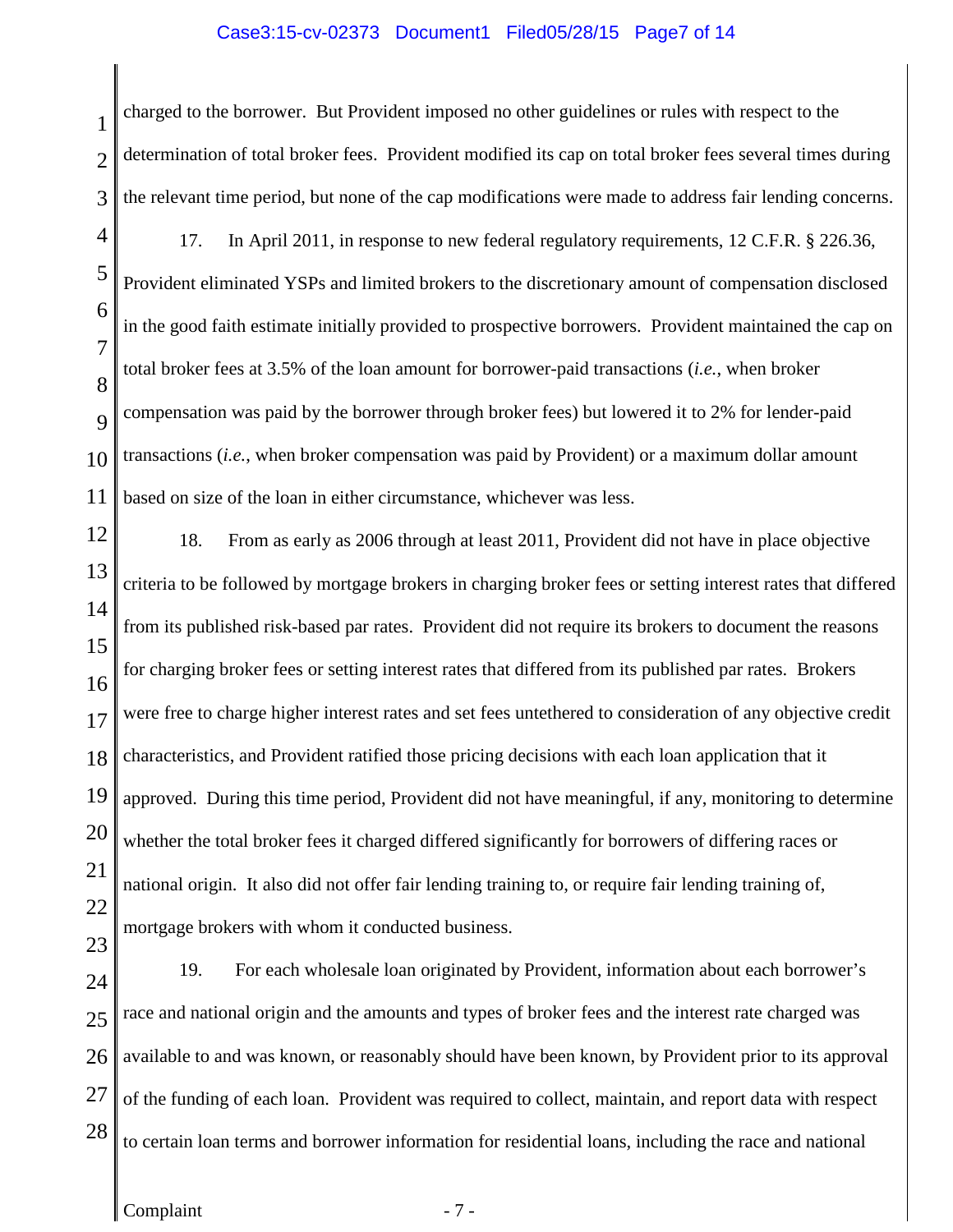#### Case3:15-cv-02373 Document1 Filed05/28/15 Page7 of 14

1  $\mathcal{D}_{\mathcal{L}}$ 3 charged to the borrower. But Provident imposed no other guidelines or rules with respect to the determination of total broker fees. Provident modified its cap on total broker fees several times during the relevant time period, but none of the cap modifications were made to address fair lending concerns.

- 4 5 6 7 8  $\overline{Q}$ 10 11 17. In April 2011, in response to new federal regulatory requirements, 12 C.F.R. § 226.36, Provident eliminated YSPs and limited brokers to the discretionary amount of compensation disclosed in the good faith estimate initially provided to prospective borrowers. Provident maintained the cap on total broker fees at 3.5% of the loan amount for borrower-paid transactions (*i.e.*, when broker compensation was paid by the borrower through broker fees) but lowered it to 2% for lender-paid transactions (*i.e.*, when broker compensation was paid by Provident) or a maximum dollar amount based on size of the loan in either circumstance, whichever was less.
- 12 13 14 15 16 17 18 19 20 21 22 23 18. From as early as 2006 through at least 2011, Provident did not have in place objective criteria to be followed by mortgage brokers in charging broker fees or setting interest rates that differed from its published risk-based par rates. Provident did not require its brokers to document the reasons for charging broker fees or setting interest rates that differed from its published par rates. Brokers were free to charge higher interest rates and set fees untethered to consideration of any objective credit characteristics, and Provident ratified those pricing decisions with each loan application that it approved. During this time period, Provident did not have meaningful, if any, monitoring to determine whether the total broker fees it charged differed significantly for borrowers of differing races or national origin. It also did not offer fair lending training to, or require fair lending training of, mortgage brokers with whom it conducted business.
- 24 25 26 27 28 19. For each wholesale loan originated by Provident, information about each borrower's race and national origin and the amounts and types of broker fees and the interest rate charged was available to and was known, or reasonably should have been known, by Provident prior to its approval of the funding of each loan. Provident was required to collect, maintain, and report data with respect to certain loan terms and borrower information for residential loans, including the race and national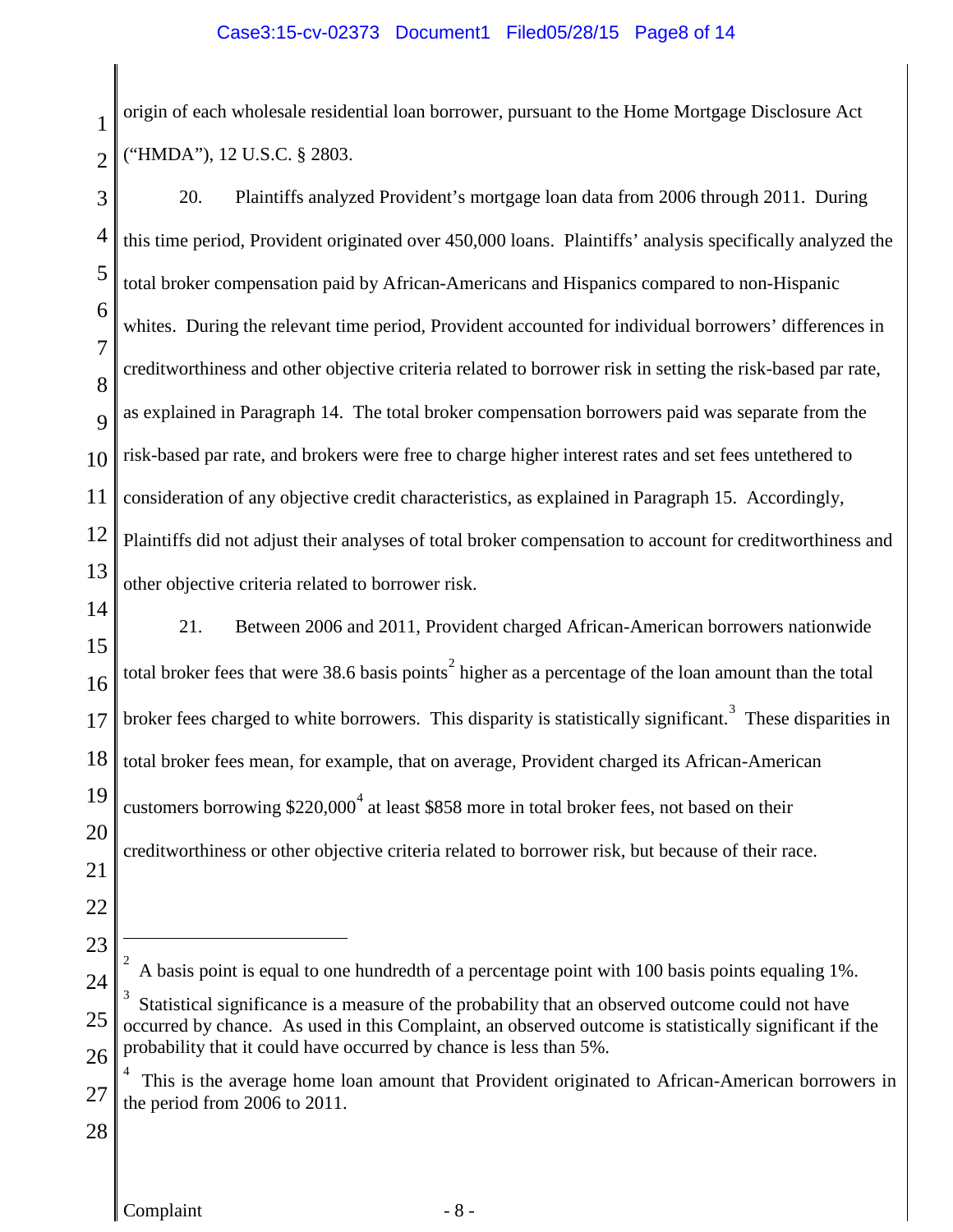1 2 origin of each wholesale residential loan borrower, pursuant to the Home Mortgage Disclosure Act ("HMDA"), 12 U.S.C. § 2803.

<span id="page-7-2"></span><span id="page-7-1"></span><span id="page-7-0"></span>3 4 5 6 7 8  $\overline{Q}$ 10 11 12 13 14 15 16 17 18 19 20 21 22 23 24 25 26 27 28 20. Plaintiffs analyzed Provident's mortgage loan data from 2006 through 2011. During this time period, Provident originated over 450,000 loans. Plaintiffs' analysis specifically analyzed the total broker compensation paid by African-Americans and Hispanics compared to non-Hispanic whites. During the relevant time period, Provident accounted for individual borrowers' differences in creditworthiness and other objective criteria related to borrower risk in setting the risk-based par rate, as explained in Paragraph 14. The total broker compensation borrowers paid was separate from the risk-based par rate, and brokers were free to charge higher interest rates and set fees untethered to consideration of any objective credit characteristics, as explained in Paragraph 15. Accordingly, Plaintiffs did not adjust their analyses of total broker compensation to account for creditworthiness and other objective criteria related to borrower risk. 21. Between 2006 and 2011, Provident charged African-American borrowers nationwide total broker fees that were 38.6 basis points<sup>[2](#page-7-0)</sup> higher as a percentage of the loan amount than the total broker fees charged to white borrowers. This disparity is statistically significant.<sup>[3](#page-7-1)</sup> These disparities in total broker fees mean, for example, that on average, Provident charged its African-American customers borrowing \$220,000 $^4$  $^4$  at least \$858 more in total broker fees, not based on their creditworthiness or other objective criteria related to borrower risk, but because of their race.  $\overline{2}$  A basis point is equal to one hundredth of a percentage point with 100 basis points equaling 1%. 3 Statistical significance is a measure of the probability that an observed outcome could not have occurred by chance. As used in this Complaint, an observed outcome is statistically significant if the probability that it could have occurred by chance is less than 5%. <sup>4</sup> This is the average home loan amount that Provident originated to African-American borrowers in the period from 2006 to 2011.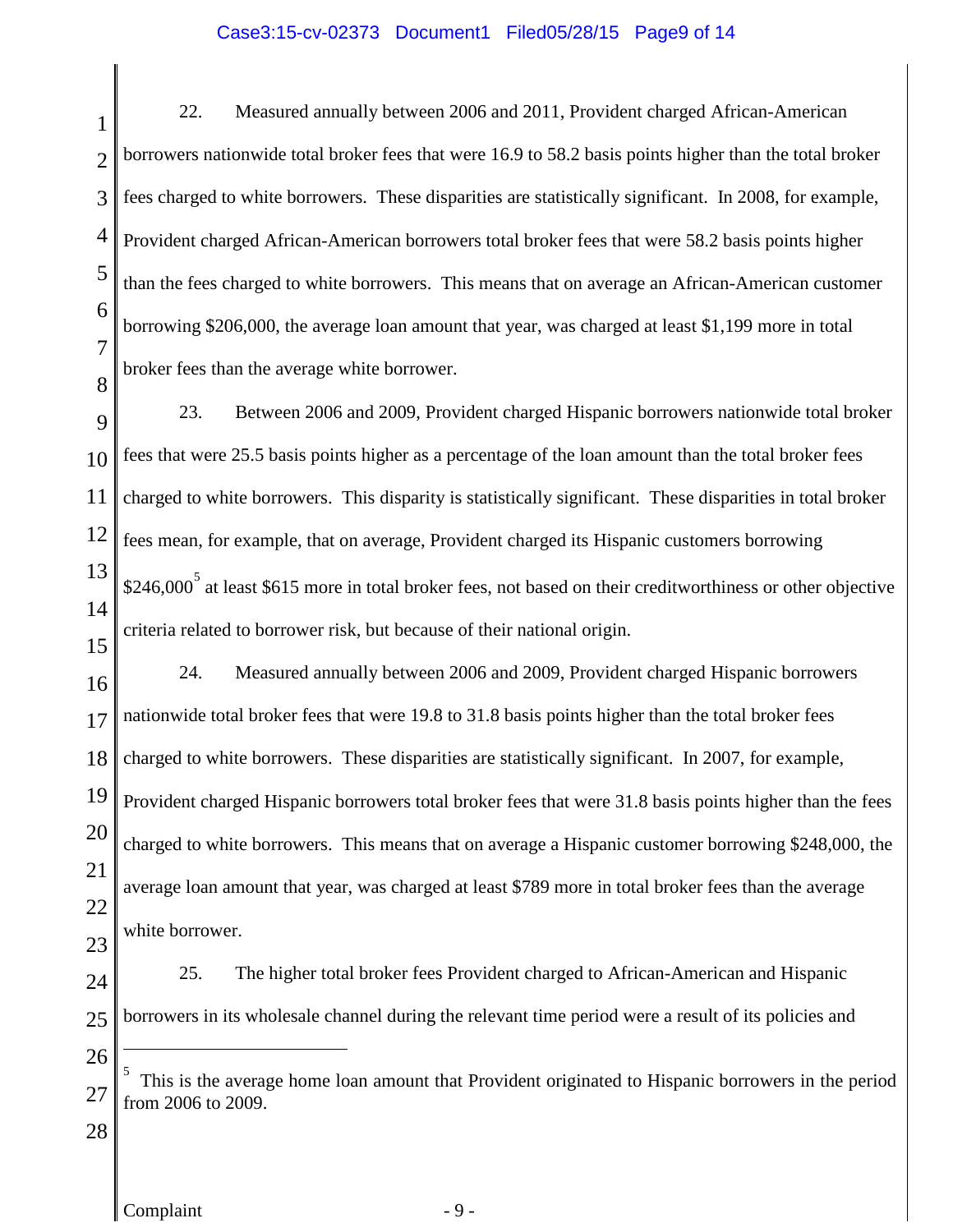## Case3:15-cv-02373 Document1 Filed05/28/15 Page9 of 14

1  $\mathcal{D}_{\mathcal{L}}$ 3 4 5 6 7 8 22. Measured annually between 2006 and 2011, Provident charged African-American borrowers nationwide total broker fees that were 16.9 to 58.2 basis points higher than the total broker fees charged to white borrowers. These disparities are statistically significant. In 2008, for example, Provident charged African-American borrowers total broker fees that were 58.2 basis points higher than the fees charged to white borrowers. This means that on average an African-American customer borrowing \$206,000, the average loan amount that year, was charged at least \$1,199 more in total broker fees than the average white borrower.

9 10 11 12 13 14 23. Between 2006 and 2009, Provident charged Hispanic borrowers nationwide total broker fees that were 25.5 basis points higher as a percentage of the loan amount than the total broker fees charged to white borrowers. This disparity is statistically significant. These disparities in total broker fees mean, for example, that on average, Provident charged its Hispanic customers borrowing \$246,000<sup>[5](#page-8-0)</sup> at least \$615 more in total broker fees, not based on their creditworthiness or other objective criteria related to borrower risk, but because of their national origin.

16 17 18 19 20 21 22 24. Measured annually between 2006 and 2009, Provident charged Hispanic borrowers nationwide total broker fees that were 19.8 to 31.8 basis points higher than the total broker fees charged to white borrowers. These disparities are statistically significant. In 2007, for example, Provident charged Hispanic borrowers total broker fees that were 31.8 basis points higher than the fees charged to white borrowers. This means that on average a Hispanic customer borrowing \$248,000, the average loan amount that year, was charged at least \$789 more in total broker fees than the average white borrower.

23

15

- 24 25 25. The higher total broker fees Provident charged to African-American and Hispanic borrowers in its wholesale channel during the relevant time period were a result of its policies and
- 26
- <span id="page-8-0"></span>27  $\frac{5}{10}$ . This is the average home loan amount that Provident originated to Hispanic borrowers in the period from 2006 to 2009.
- 28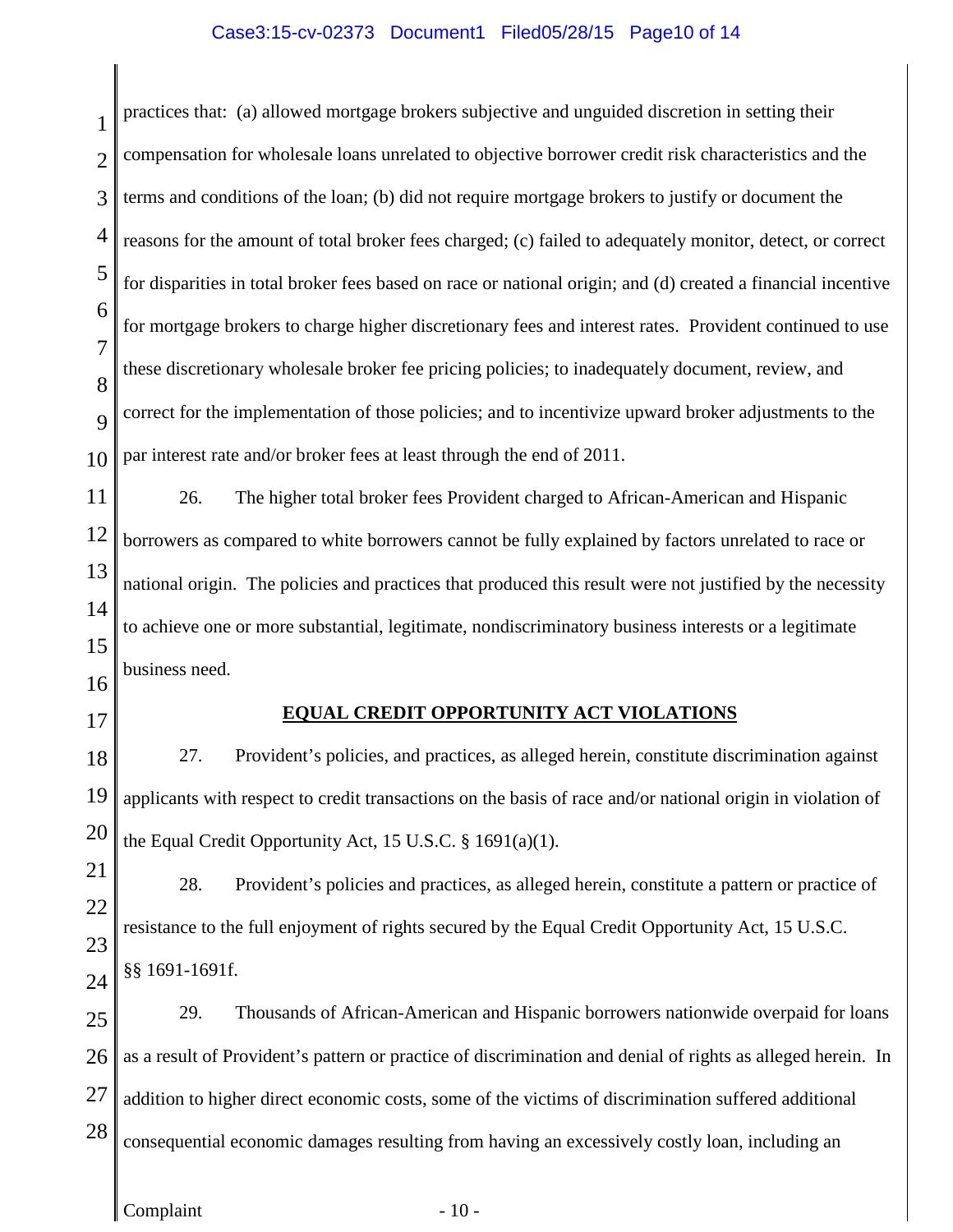### Case3:15-cv-02373 Document1 Filed05/28/15 Page10 of 14

1  $\mathcal{D}_{\mathcal{L}}$ 3 4 5 6 7 8  $\overline{Q}$ 10 11 12 13 14 15 16 17 18 19 20 21 22 23 24 25 26 27 28 Complaint - 10 practices that: (a) allowed mortgage brokers subjective and unguided discretion in setting their compensation for wholesale loans unrelated to objective borrower credit risk characteristics and the terms and conditions of the loan; (b) did not require mortgage brokers to justify or document the reasons for the amount of total broker fees charged; (c) failed to adequately monitor, detect, or correct for disparities in total broker fees based on race or national origin; and (d) created a financial incentive for mortgage brokers to charge higher discretionary fees and interest rates. Provident continued to use these discretionary wholesale broker fee pricing policies; to inadequately document, review, and correct for the implementation of those policies; and to incentivize upward broker adjustments to the par interest rate and/or broker fees at least through the end of 2011. 26. The higher total broker fees Provident charged to African-American and Hispanic borrowers as compared to white borrowers cannot be fully explained by factors unrelated to race or national origin. The policies and practices that produced this result were not justified by the necessity to achieve one or more substantial, legitimate, nondiscriminatory business interests or a legitimate business need. **EQUAL CREDIT OPPORTUNITY ACT VIOLATIONS** 27. Provident's policies, and practices, as alleged herein, constitute discrimination against applicants with respect to credit transactions on the basis of race and/or national origin in violation of the Equal Credit Opportunity Act, 15 U.S.C. § 1691(a)(1). 28. Provident's policies and practices, as alleged herein, constitute a pattern or practice of resistance to the full enjoyment of rights secured by the Equal Credit Opportunity Act, 15 U.S.C. §§ 1691-1691f. 29. Thousands of African-American and Hispanic borrowers nationwide overpaid for loans as a result of Provident's pattern or practice of discrimination and denial of rights as alleged herein. In addition to higher direct economic costs, some of the victims of discrimination suffered additional consequential economic damages resulting from having an excessively costly loan, including an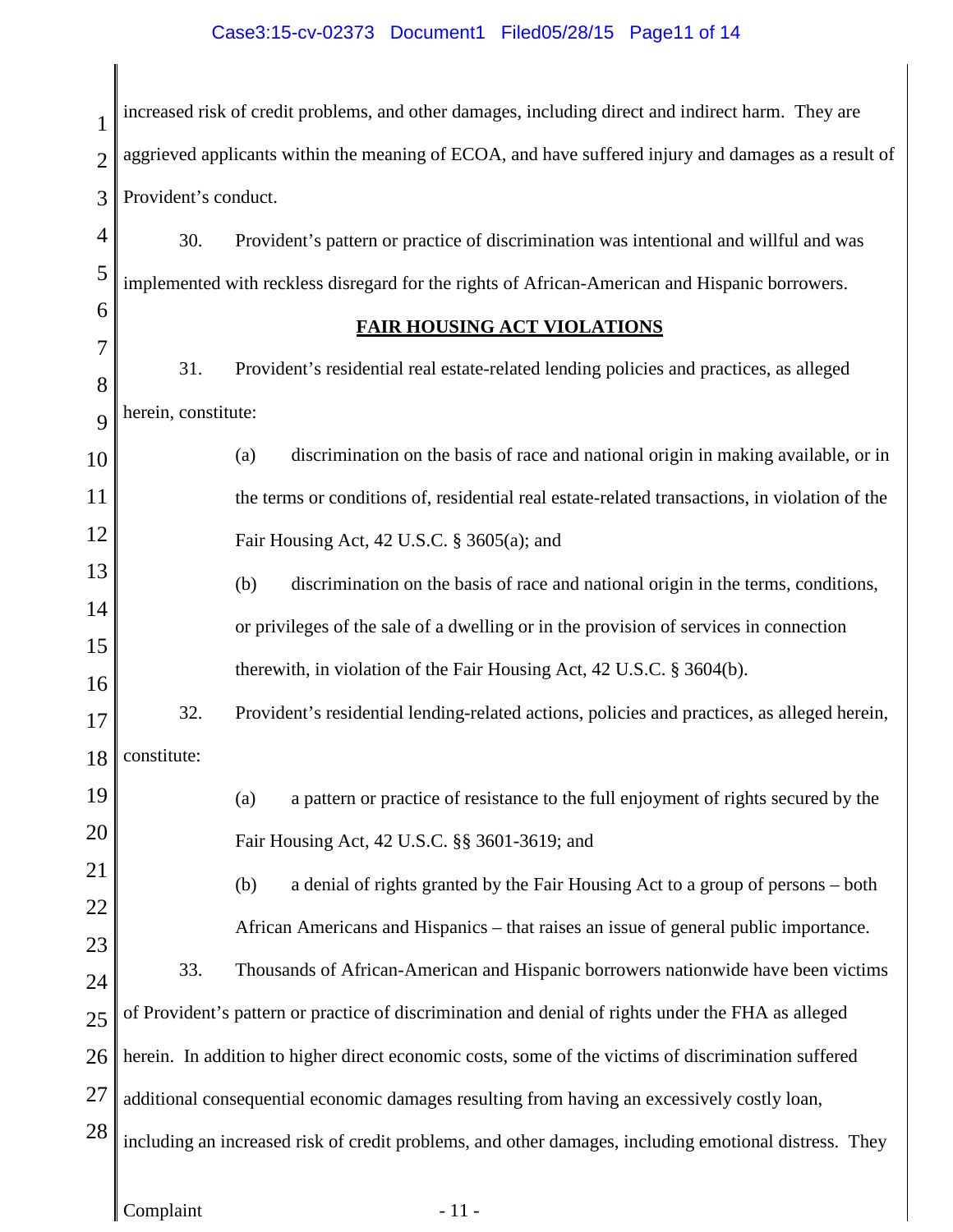# Case3:15-cv-02373 Document1 Filed05/28/15 Page11 of 14

| $\mathbf{1}$   | increased risk of credit problems, and other damages, including direct and indirect harm. They are    |                                                                                                     |  |  |  |  |  |
|----------------|-------------------------------------------------------------------------------------------------------|-----------------------------------------------------------------------------------------------------|--|--|--|--|--|
| $\overline{2}$ | aggrieved applicants within the meaning of ECOA, and have suffered injury and damages as a result of  |                                                                                                     |  |  |  |  |  |
| 3              | Provident's conduct.                                                                                  |                                                                                                     |  |  |  |  |  |
| $\overline{4}$ | 30.                                                                                                   | Provident's pattern or practice of discrimination was intentional and willful and was               |  |  |  |  |  |
| 5              | implemented with reckless disregard for the rights of African-American and Hispanic borrowers.        |                                                                                                     |  |  |  |  |  |
| 6              | <b>FAIR HOUSING ACT VIOLATIONS</b>                                                                    |                                                                                                     |  |  |  |  |  |
| $\overline{7}$ | 31.                                                                                                   | Provident's residential real estate-related lending policies and practices, as alleged              |  |  |  |  |  |
| 8              | herein, constitute:                                                                                   |                                                                                                     |  |  |  |  |  |
| 9              |                                                                                                       |                                                                                                     |  |  |  |  |  |
| 10             |                                                                                                       | discrimination on the basis of race and national origin in making available, or in<br>(a)           |  |  |  |  |  |
| 11             |                                                                                                       | the terms or conditions of, residential real estate-related transactions, in violation of the       |  |  |  |  |  |
| 12             |                                                                                                       | Fair Housing Act, 42 U.S.C. § 3605(a); and                                                          |  |  |  |  |  |
| 13             |                                                                                                       | (b)<br>discrimination on the basis of race and national origin in the terms, conditions,            |  |  |  |  |  |
| 14             |                                                                                                       | or privileges of the sale of a dwelling or in the provision of services in connection               |  |  |  |  |  |
| 15             |                                                                                                       | therewith, in violation of the Fair Housing Act, 42 U.S.C. § 3604(b).                               |  |  |  |  |  |
| 16<br>17       | 32.                                                                                                   | Provident's residential lending-related actions, policies and practices, as alleged herein,         |  |  |  |  |  |
|                | $18$ constitute:                                                                                      |                                                                                                     |  |  |  |  |  |
| 19             |                                                                                                       | a pattern or practice of resistance to the full enjoyment of rights secured by the<br>(a)           |  |  |  |  |  |
| 20             |                                                                                                       |                                                                                                     |  |  |  |  |  |
| 21             | Fair Housing Act, 42 U.S.C. §§ 3601-3619; and                                                         |                                                                                                     |  |  |  |  |  |
| 22             |                                                                                                       | (b)<br>a denial of rights granted by the Fair Housing Act to a group of persons – both              |  |  |  |  |  |
| 23             | African Americans and Hispanics – that raises an issue of general public importance.                  |                                                                                                     |  |  |  |  |  |
| 24             | 33.                                                                                                   | Thousands of African-American and Hispanic borrowers nationwide have been victims                   |  |  |  |  |  |
| 25             | of Provident's pattern or practice of discrimination and denial of rights under the FHA as alleged    |                                                                                                     |  |  |  |  |  |
| 26             |                                                                                                       | herein. In addition to higher direct economic costs, some of the victims of discrimination suffered |  |  |  |  |  |
| 27             |                                                                                                       | additional consequential economic damages resulting from having an excessively costly loan,         |  |  |  |  |  |
| 28             | including an increased risk of credit problems, and other damages, including emotional distress. They |                                                                                                     |  |  |  |  |  |
|                |                                                                                                       |                                                                                                     |  |  |  |  |  |
|                | Complaint                                                                                             | $-11-$                                                                                              |  |  |  |  |  |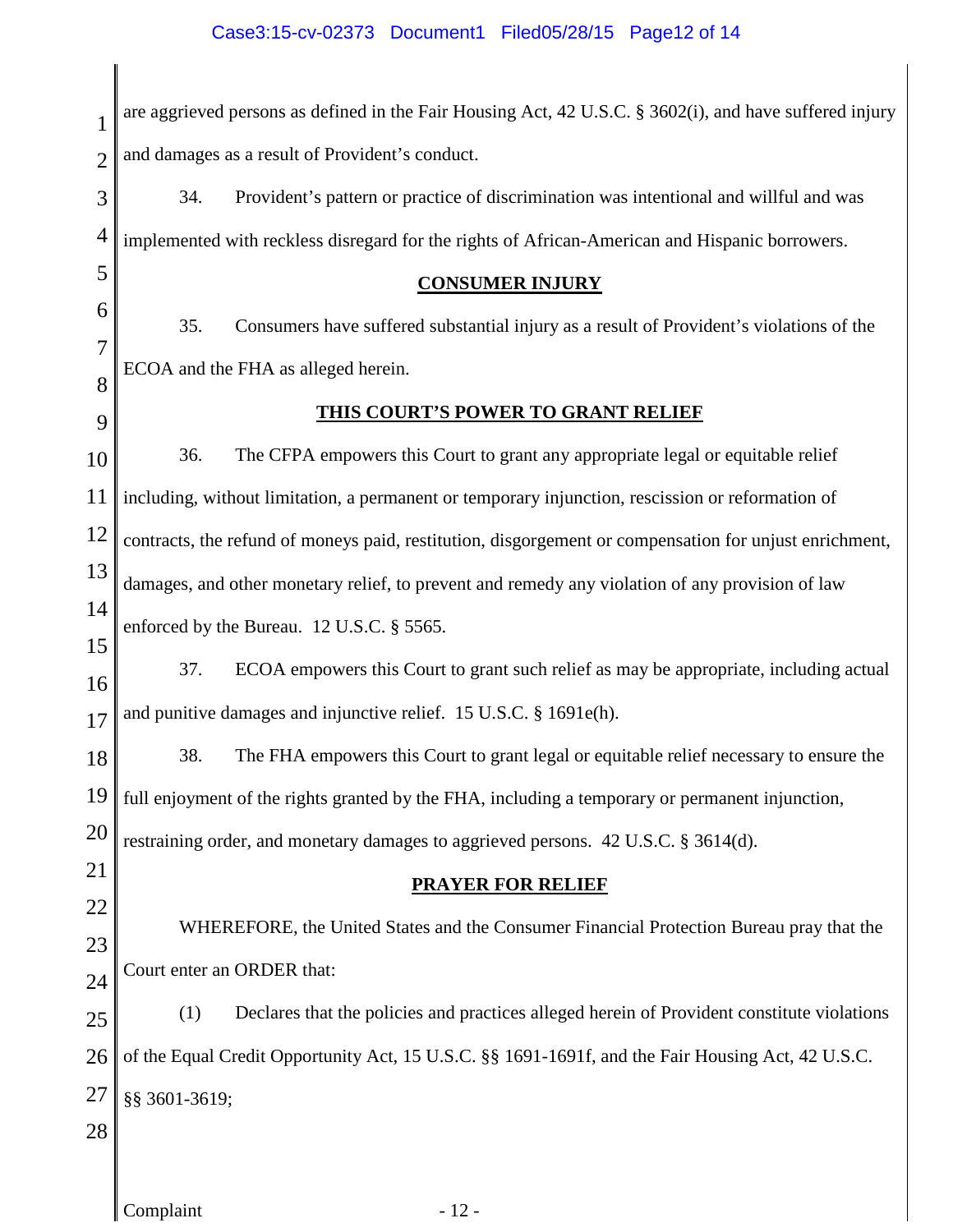1 2 3 4 5 6 7 8 9 10 11 12 13 14 15 16 17 18 19 20 21 22 23 24 25 26 27 28 are aggrieved persons as defined in the Fair Housing Act, 42 U.S.C. § 3602(i), and have suffered injury and damages as a result of Provident's conduct. 34. Provident's pattern or practice of discrimination was intentional and willful and was implemented with reckless disregard for the rights of African-American and Hispanic borrowers. **CONSUMER INJURY** 35. Consumers have suffered substantial injury as a result of Provident's violations of the ECOA and the FHA as alleged herein. **THIS COURT'S POWER TO GRANT RELIEF** 36. The CFPA empowers this Court to grant any appropriate legal or equitable relief including, without limitation, a permanent or temporary injunction, rescission or reformation of contracts, the refund of moneys paid, restitution, disgorgement or compensation for unjust enrichment, damages, and other monetary relief, to prevent and remedy any violation of any provision of law enforced by the Bureau. 12 U.S.C. § 5565. 37. ECOA empowers this Court to grant such relief as may be appropriate, including actual and punitive damages and injunctive relief. 15 U.S.C. § 1691e(h). 38. The FHA empowers this Court to grant legal or equitable relief necessary to ensure the full enjoyment of the rights granted by the FHA, including a temporary or permanent injunction, restraining order, and monetary damages to aggrieved persons. 42 U.S.C. § 3614(d). **PRAYER FOR RELIEF** WHEREFORE, the United States and the Consumer Financial Protection Bureau pray that the Court enter an ORDER that: (1) Declares that the policies and practices alleged herein of Provident constitute violations of the Equal Credit Opportunity Act, 15 U.S.C. §§ 1691-1691f, and the Fair Housing Act, 42 U.S.C. §§ 3601-3619;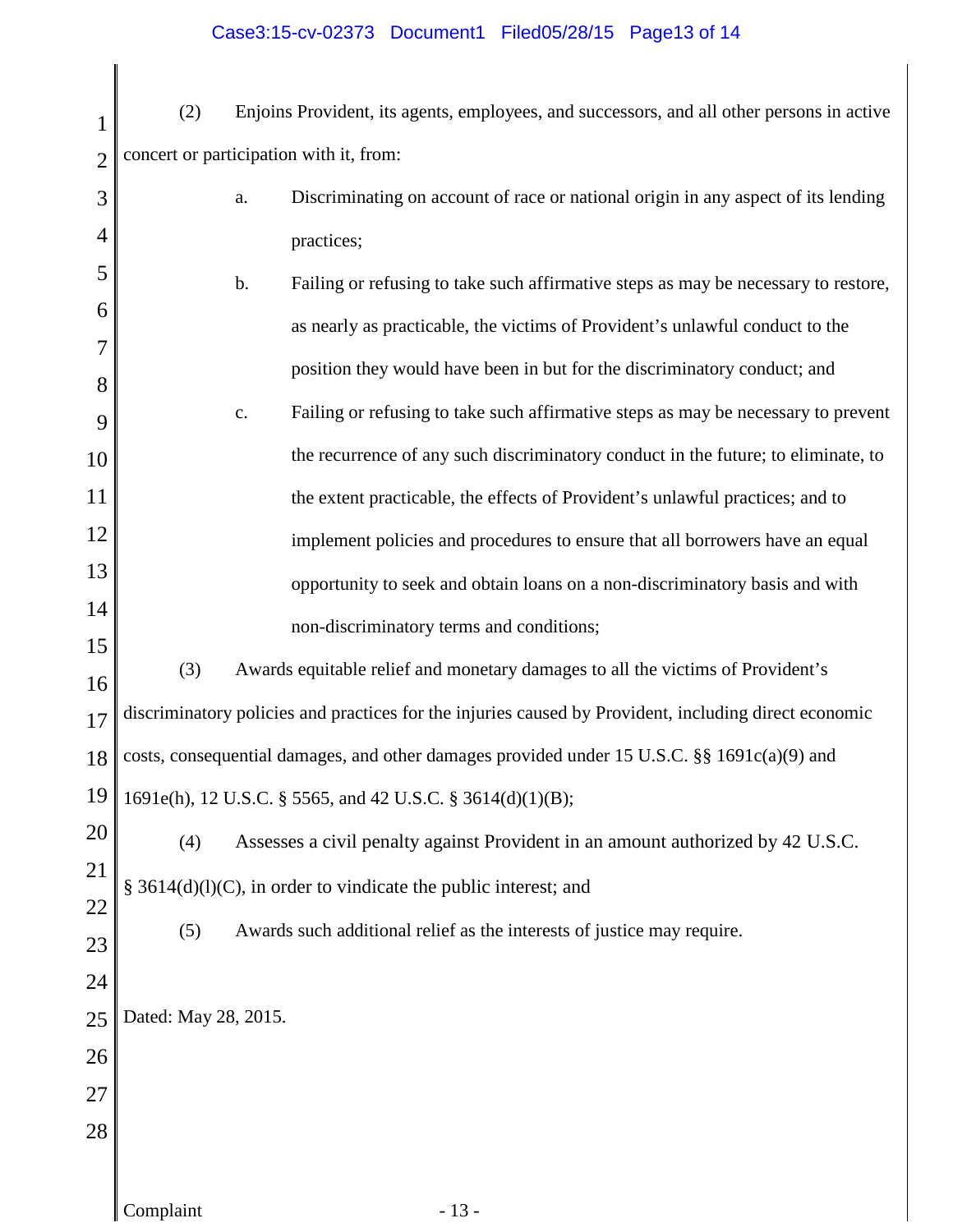# Case3:15-cv-02373 Document1 Filed05/28/15 Page13 of 14

1 2 (2) Enjoins Provident, its agents, employees, and successors, and all other persons in active concert or participation with it, from:

| 3        |                                                                                                       | a.             | Discriminating on account of race or national origin in any aspect of its lending  |  |  |  |  |
|----------|-------------------------------------------------------------------------------------------------------|----------------|------------------------------------------------------------------------------------|--|--|--|--|
| 4        |                                                                                                       |                | practices;                                                                         |  |  |  |  |
| 5        |                                                                                                       | b.             | Failing or refusing to take such affirmative steps as may be necessary to restore, |  |  |  |  |
| 6        |                                                                                                       |                | as nearly as practicable, the victims of Provident's unlawful conduct to the       |  |  |  |  |
| 8        |                                                                                                       |                | position they would have been in but for the discriminatory conduct; and           |  |  |  |  |
| 9        |                                                                                                       | $\mathbf{c}$ . | Failing or refusing to take such affirmative steps as may be necessary to prevent  |  |  |  |  |
| 10       |                                                                                                       |                | the recurrence of any such discriminatory conduct in the future; to eliminate, to  |  |  |  |  |
| 11       |                                                                                                       |                | the extent practicable, the effects of Provident's unlawful practices; and to      |  |  |  |  |
| 12       |                                                                                                       |                | implement policies and procedures to ensure that all borrowers have an equal       |  |  |  |  |
| 13       |                                                                                                       |                | opportunity to seek and obtain loans on a non-discriminatory basis and with        |  |  |  |  |
| 14       |                                                                                                       |                | non-discriminatory terms and conditions;                                           |  |  |  |  |
| 15<br>16 | (3)                                                                                                   |                | Awards equitable relief and monetary damages to all the victims of Provident's     |  |  |  |  |
| 17       | discriminatory policies and practices for the injuries caused by Provident, including direct economic |                |                                                                                    |  |  |  |  |
| 18       | costs, consequential damages, and other damages provided under 15 U.S.C. §§ 1691c(a)(9) and           |                |                                                                                    |  |  |  |  |
| 19       | 1691e(h), 12 U.S.C. § 5565, and 42 U.S.C. § 3614(d)(1)(B);                                            |                |                                                                                    |  |  |  |  |
| 20       | (4)                                                                                                   |                | Assesses a civil penalty against Provident in an amount authorized by 42 U.S.C.    |  |  |  |  |
| 21       | § 3614(d)(l)(C), in order to vindicate the public interest; and                                       |                |                                                                                    |  |  |  |  |
| 22       | (5)                                                                                                   |                | Awards such additional relief as the interests of justice may require.             |  |  |  |  |
| 23       |                                                                                                       |                |                                                                                    |  |  |  |  |
| 24<br>25 | Dated: May 28, 2015.                                                                                  |                |                                                                                    |  |  |  |  |
| 26       |                                                                                                       |                |                                                                                    |  |  |  |  |
| 27       |                                                                                                       |                |                                                                                    |  |  |  |  |
| 28       |                                                                                                       |                |                                                                                    |  |  |  |  |
|          |                                                                                                       |                |                                                                                    |  |  |  |  |
|          | Complaint                                                                                             |                | $-13-$                                                                             |  |  |  |  |